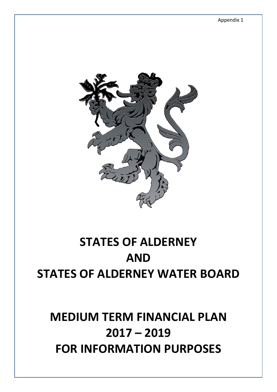

# **STATES OF ALDERNEY AND STATES OF ALDERNEY WATER BOARD**

# **MEDIUM TERM FINANCIAL PLAN 2017 – 2019 FOR INFORMATION PURPOSES**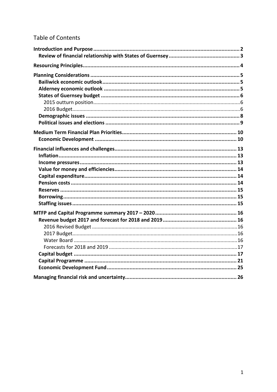# **Table of Contents**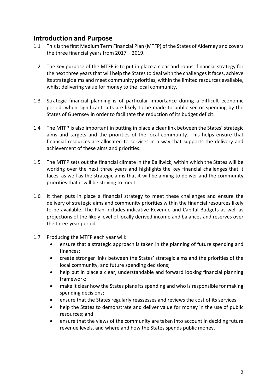# <span id="page-2-0"></span>**Introduction and Purpose**

- 1.1 This is the first Medium Term Financial Plan (MTFP) of the States of Alderney and covers the three financial years from 2017 – 2019.
- 1.2 The key purpose of the MTFP is to put in place a clear and robust financial strategy for the next three years that will help the States to deal with the challenges it faces, achieve its strategic aims and meet community priorities, within the limited resources available, whilst delivering value for money to the local community.
- 1.3 Strategic financial planning is of particular importance during a difficult economic period, when significant cuts are likely to be made to public sector spending by the States of Guernsey in order to facilitate the reduction of its budget deficit.
- 1.4 The MTFP is also important in putting in place a clear link between the States' strategic aims and targets and the priorities of the local community. This helps ensure that financial resources are allocated to services in a way that supports the delivery and achievement of these aims and priorities.
- 1.5 The MTFP sets out the financial climate in the Bailiwick, within which the States will be working over the next three years and highlights the key financial challenges that it faces, as well as the strategic aims that it will be aiming to deliver and the community priorities that it will be striving to meet.
- 1.6 It then puts in place a financial strategy to meet these challenges and ensure the delivery of strategic aims and community priorities within the financial resources likely to be available. The Plan includes indicative Revenue and Capital Budgets as well as projections of the likely level of locally derived income and balances and reserves over the three-year period.
- 1.7 Producing the MTFP each year will:
	- ensure that a strategic approach is taken in the planning of future spending and finances;
	- create stronger links between the States' strategic aims and the priorities of the local community, and future spending decisions;
	- help put in place a clear, understandable and forward looking financial planning framework;
	- make it clear how the States plans its spending and who is responsible for making spending decisions;
	- ensure that the States regularly reassesses and reviews the cost of its services;
	- help the States to demonstrate and deliver value for money in the use of public resources; and
	- ensure that the views of the community are taken into account in deciding future revenue levels, and where and how the States spends public money.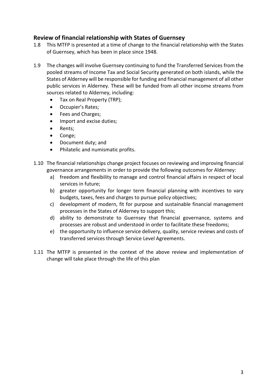## <span id="page-3-0"></span>**Review of financial relationship with States of Guernsey**

- 1.8 This MTFP is presented at a time of change to the financial relationship with the States of Guernsey, which has been in place since 1948.
- 1.9 The changes will involve Guernsey continuing to fund the Transferred Services from the pooled streams of Income Tax and Social Security generated on both islands, while the States of Alderney will be responsible for funding and financial management of all other public services in Alderney. These will be funded from all other income streams from sources related to Alderney, including:
	- Tax on Real Property (TRP);
	- Occupier's Rates;
	- Fees and Charges;
	- Import and excise duties;
	- Rents;
	- Conge;
	- Document duty; and
	- Philatelic and numismatic profits.
- 1.10 The financial relationships change project focuses on reviewing and improving financial governance arrangements in order to provide the following outcomes for Alderney:
	- a) freedom and flexibility to manage and control financial affairs in respect of local services in future;
	- b) greater opportunity for longer term financial planning with incentives to vary budgets, taxes, fees and charges to pursue policy objectives;
	- c) development of modern, fit for purpose and sustainable financial management processes in the States of Alderney to support this;
	- d) ability to demonstrate to Guernsey that financial governance, systems and processes are robust and understood in order to facilitate these freedoms;
	- e) the opportunity to influence service delivery, quality, service reviews and costs of transferred services through Service Level Agreements.
- 1.11 The MTFP is presented in the context of the above review and implementation of change will take place through the life of this plan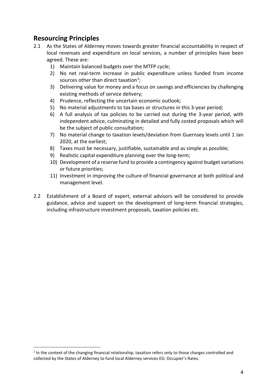# <span id="page-4-0"></span>**Resourcing Principles**

- 2.1 As the States of Alderney moves towards greater financial accountability in respect of local revenues and expenditure on local services, a number of principles have been agreed. These are:
	- 1) Maintain balanced budgets over the MTFP cycle;
	- 2) No net real-term increase in public expenditure unless funded from income sources other than direct taxation<sup>[1](#page-4-1)</sup>;
	- 3) Delivering value for money and a focus on savings and efficiencies by challenging existing methods of service delivery;
	- 4) Prudence, reflecting the uncertain economic outlook;
	- 5) No material adjustments to tax bases or structures in this 3-year period;
	- 6) A full analysis of tax policies to be carried out during the 3-year period, with independent advice, culminating in detailed and fully costed proposals which will be the subject of public consultation;
	- 7) No material change to taxation levels/deviation from Guernsey levels until 1 Jan 2020, at the earliest;
	- 8) Taxes must be necessary, justifiable, sustainable and as simple as possible;
	- 9) Realistic capital expenditure planning over the long-term;
	- 10) Development of a reserve fund to provide a contingency against budget variations or future priorities;
	- 11) Investment in improving the culture of financial governance at both political and management level.
- 2.2 Establishment of a Board of expert, external advisors will be considered to provide guidance, advice and support on the development of long-term financial strategies, including infrastructure investment proposals, taxation policies etc.

<span id="page-4-1"></span> <sup>1</sup> In the context of the changing financial relationship, taxation refers only to those charges controlled and collected by the States of Alderney to fund local Alderney services EG: Occupier's Rates.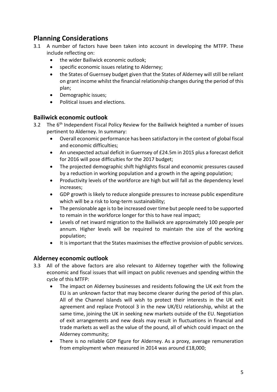# <span id="page-5-0"></span>**Planning Considerations**

- 3.1 A number of factors have been taken into account in developing the MTFP. These include reflecting on:
	- the wider Bailiwick economic outlook;
	- specific economic issues relating to Alderney;
	- the States of Guernsey budget given that the States of Alderney will still be reliant on grant income whilst the financial relationship changes during the period of this plan;
	- Demographic issues;
	- Political issues and elections.

## <span id="page-5-1"></span>**Bailiwick economic outlook**

- 3.2 The 6<sup>th</sup> Independent Fiscal Policy Review for the Bailiwick heighted a number of issues pertinent to Alderney. In summary:
	- Overall economic performance has been satisfactory in the context of global fiscal and economic difficulties;
	- An unexpected actual deficit in Guernsey of £24.5m in 2015 plus a forecast deficit for 2016 will pose difficulties for the 2017 budget;
	- The projected demographic shift highlights fiscal and economic pressures caused by a reduction in working population and a growth in the ageing population;
	- Productivity levels of the workforce are high but will fall as the dependency level increases;
	- GDP growth is likely to reduce alongside pressures to increase public expenditure which will be a risk to long-term sustainability;
	- The pensionable age is to be increased over time but people need to be supported to remain in the workforce longer for this to have real impact;
	- Levels of net inward migration to the Bailiwick are approximately 100 people per annum. Higher levels will be required to maintain the size of the working population;
	- It is important that the States maximises the effective provision of public services.

## <span id="page-5-2"></span>**Alderney economic outlook**

- 3.3 All of the above factors are also relevant to Alderney together with the following economic and fiscal issues that will impact on public revenues and spending within the cycle of this MTFP:
	- The impact on Alderney businesses and residents following the UK exit from the EU is an unknown factor that may become clearer during the period of this plan. All of the Channel Islands will wish to protect their interests in the UK exit agreement and replace Protocol 3 in the new UK/EU relationship, whilst at the same time, joining the UK in seeking new markets outside of the EU. Negotiation of exit arrangements and new deals may result in fluctuations in financial and trade markets as well as the value of the pound, all of which could impact on the Alderney community;
	- There is no reliable GDP figure for Alderney. As a proxy, average remuneration from employment when measured in 2014 was around £18,000;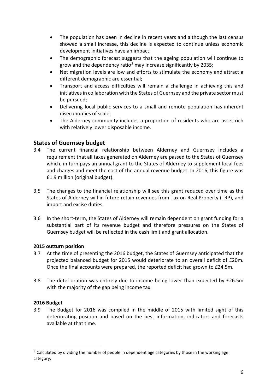- The population has been in decline in recent years and although the last census showed a small increase, this decline is expected to continue unless economic development initiatives have an impact;
- The demographic forecast suggests that the ageing population will continue to grow and the dependency ratio<sup>[2](#page-6-3)</sup> may increase significantly by 2035;
- Net migration levels are low and efforts to stimulate the economy and attract a different demographic are essential;
- Transport and access difficulties will remain a challenge in achieving this and initiatives in collaboration with the States of Guernsey and the private sector must be pursued;
- Delivering local public services to a small and remote population has inherent diseconomies of scale;
- The Alderney community includes a proportion of residents who are asset rich with relatively lower disposable income.

## <span id="page-6-0"></span>**States of Guernsey budget**

- 3.4 The current financial relationship between Alderney and Guernsey includes a requirement that all taxes generated on Alderney are passed to the States of Guernsey which, in turn pays an annual grant to the States of Alderney to supplement local fees and charges and meet the cost of the annual revenue budget. In 2016, this figure was £1.9 million (original budget).
- 3.5 The changes to the financial relationship will see this grant reduced over time as the States of Alderney will in future retain revenues from Tax on Real Property (TRP), and import and excise duties.
- 3.6 In the short-term, the States of Alderney will remain dependent on grant funding for a substantial part of its revenue budget and therefore pressures on the States of Guernsey budget will be reflected in the cash limit and grant allocation.

#### <span id="page-6-1"></span>**2015 outturn position**

- 3.7 At the time of presenting the 2016 budget, the States of Guernsey anticipated that the projected balanced budget for 2015 would deteriorate to an overall deficit of £20m. Once the final accounts were prepared, the reported deficit had grown to £24.5m.
- 3.8 The deterioration was entirely due to income being lower than expected by £26.5m with the majority of the gap being income tax.

#### <span id="page-6-2"></span>**2016 Budget**

3.9 The Budget for 2016 was compiled in the middle of 2015 with limited sight of this deteriorating position and based on the best information, indicators and forecasts available at that time.

<span id="page-6-3"></span><sup>&</sup>lt;sup>2</sup> Calculated by dividing the number of people in dependent age categories by those in the working age category.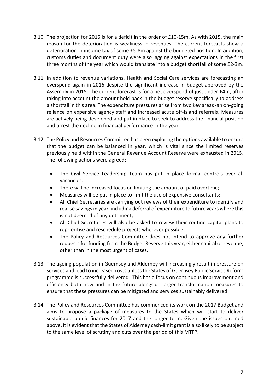- 3.10 The projection for 2016 is for a deficit in the order of £10-15m. As with 2015, the main reason for the deterioration is weakness in revenues. The current forecasts show a deterioration in income tax of some £5-8m against the budgeted position. In addition, customs duties and document duty were also lagging against expectations in the first three months of the year which would translate into a budget shortfall of some £2-3m.
- 3.11 In addition to revenue variations, Health and Social Care services are forecasting an overspend again in 2016 despite the significant increase in budget approved by the Assembly in 2015. The current forecast is for a net overspend of just under £4m, after taking into account the amount held back in the budget reserve specifically to address a shortfall in this area. The expenditure pressures arise from two key areas -an on-going reliance on expensive agency staff and increased acute off-island referrals. Measures are actively being developed and put in place to seek to address the financial position and arrest the decline in financial performance in the year.
- 3.12 The Policy and Resources Committee has been exploring the options available to ensure that the budget can be balanced in year, which is vital since the limited reserves previously held within the General Revenue Account Reserve were exhausted in 2015. The following actions were agreed:
	- The Civil Service Leadership Team has put in place formal controls over all vacancies;
	- There will be increased focus on limiting the amount of paid overtime;
	- Measures will be put in place to limit the use of expensive consultants;
	- All Chief Secretaries are carrying out reviews of their expenditure to identify and realise savings in year, including deferral of expenditure to future years where this is not deemed of any detriment;
	- All Chief Secretaries will also be asked to review their routine capital plans to reprioritise and reschedule projects wherever possible;
	- The Policy and Resources Committee does not intend to approve any further requests for funding from the Budget Reserve this year, either capital or revenue, other than in the most urgent of cases.
- 3.13 The ageing population in Guernsey and Alderney will increasingly result in pressure on services and lead to increased costs unless the States of Guernsey Public Service Reform programme is successfully delivered. This has a focus on continuous improvement and efficiency both now and in the future alongside larger transformation measures to ensure that these pressures can be mitigated and services sustainably delivered.
- 3.14 The Policy and Resources Committee has commenced its work on the 2017 Budget and aims to propose a package of measures to the States which will start to deliver sustainable public finances for 2017 and the longer term. Given the issues outlined above, it is evident that the States of Alderney cash-limit grant is also likely to be subject to the same level of scrutiny and cuts over the period of this MTFP.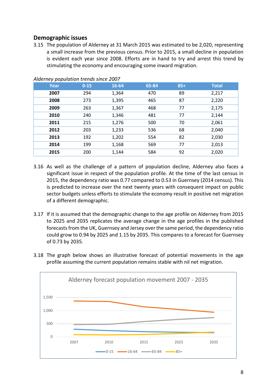## <span id="page-8-0"></span>**Demographic issues**

3.15 The population of Alderney at 31 March 2015 was estimated to be 2,020, representing a small increase from the previous census. Prior to 2015, a small decline in population is evident each year since 2008. Efforts are in hand to try and arrest this trend by stimulating the economy and encouraging some inward migration.

| Year | $0 - 15$ | 16-64 | 65-84 | $85+$ | <b>Total</b> |
|------|----------|-------|-------|-------|--------------|
| 2007 | 294      | 1,364 | 470   | 89    | 2,217        |
| 2008 | 273      | 1,395 | 465   | 87    | 2,220        |
| 2009 | 263      | 1,367 | 468   | 77    | 2,175        |
| 2010 | 240      | 1,346 | 481   | 77    | 2,144        |
| 2011 | 215      | 1,276 | 500   | 70    | 2,061        |
| 2012 | 203      | 1,233 | 536   | 68    | 2,040        |
| 2013 | 192      | 1,202 | 554   | 82    | 2,030        |
| 2014 | 199      | 1,168 | 569   | 77    | 2,013        |
| 2015 | 200      | 1,144 | 584   | 92    | 2,020        |

#### *Alderney population trends since 2007*

- 3.16 As well as the challenge of a pattern of population decline, Alderney also faces a significant issue in respect of the population profile. At the time of the last census in 2015, the dependency ratio was 0.77 compared to 0.53 in Guernsey (2014 census). This is predicted to increase over the next twenty years with consequent impact on public sector budgets unless efforts to stimulate the economy result in positive net migration of a different demographic.
- 3.17 If it is assumed that the demographic change to the age profile on Alderney from 2015 to 2025 and 2035 replicates the average change in the age profiles in the published forecasts from the UK, Guernsey and Jersey over the same period, the dependency ratio could grow to 0.94 by 2025 and 1.15 by 2035. This compares to a forecast for Guernsey of 0.73 by 2035.
- 3.18 The graph below shows an illustrative forecast of potential movements in the age profile assuming the current population remains stable with nil net migration.

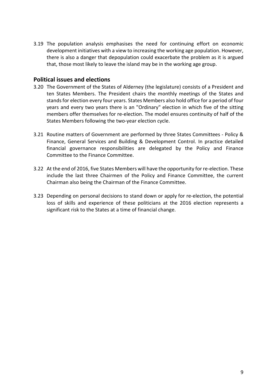3.19 The population analysis emphasises the need for continuing effort on economic development initiatives with a view to increasing the working age population. However, there is also a danger that depopulation could exacerbate the problem as it is argued that, those most likely to leave the island may be in the working age group.

#### <span id="page-9-0"></span>**Political issues and elections**

- 3.20 The Government of the States of Alderney (the legislature) consists of a President and ten States Members. The President chairs the monthly meetings of the States and stands for election every four years. States Members also hold office for a period of four years and every two years there is an "Ordinary" election in which five of the sitting members offer themselves for re-election. The model ensures continuity of half of the States Members following the two-year election cycle.
- 3.21 Routine matters of Government are performed by three States Committees Policy & Finance, General Services and Building & Development Control. In practice detailed financial governance responsibilities are delegated by the Policy and Finance Committee to the Finance Committee.
- 3.22 At the end of 2016, five States Members will have the opportunity for re-election. These include the last three Chairmen of the Policy and Finance Committee, the current Chairman also being the Chairman of the Finance Committee.
- 3.23 Depending on personal decisions to stand down or apply for re-election, the potential loss of skills and experience of these politicians at the 2016 election represents a significant risk to the States at a time of financial change.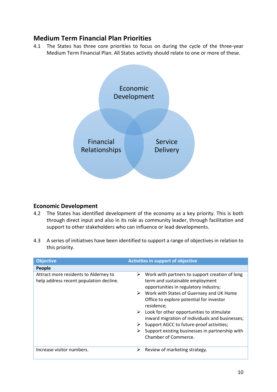# <span id="page-10-0"></span>**Medium Term Financial Plan Priorities**

4.1 The States has three core priorities to focus on during the cycle of the three-year Medium Term Financial Plan. All States activity should relate to one or more of these.



## <span id="page-10-1"></span>**Economic Development**

- 4.2 The States has identified development of the economy as a key priority. This is both through direct input and also in its role as community leader, through facilitation and support to other stakeholders who can influence or lead developments.
- 4.3 A series of initiatives have been identified to support a range of objectives in relation to this priority.

| <b>Objective</b>                                                                 | <b>Activities in support of objective</b>                                                                                       |  |  |  |
|----------------------------------------------------------------------------------|---------------------------------------------------------------------------------------------------------------------------------|--|--|--|
| People                                                                           |                                                                                                                                 |  |  |  |
| Attract more residents to Alderney to<br>help address recent population decline. | Work with partners to support creation of long<br>➤<br>term and sustainable employment<br>opportunities in regulatory industry; |  |  |  |
|                                                                                  | $\triangleright$ Work with States of Guernsey and UK Home<br>Office to explore potential for investor<br>residence;             |  |  |  |
|                                                                                  | Look for other opportunities to stimulate<br>inward migration of individuals and businesses;                                    |  |  |  |
|                                                                                  | Support AGCC to future-proof activities;                                                                                        |  |  |  |
|                                                                                  | Support existing businesses in partnership with<br>Chamber of Commerce.                                                         |  |  |  |
| Increase visitor numbers.                                                        | Review of marketing strategy.<br>⋗                                                                                              |  |  |  |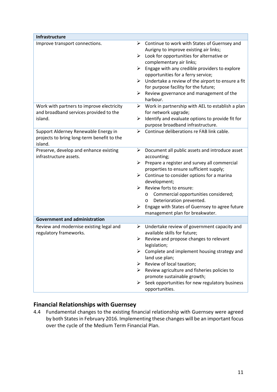| Infrastructure                                                                                           |                                                                                                                                                                                                                                                                                                                                                                                                                               |
|----------------------------------------------------------------------------------------------------------|-------------------------------------------------------------------------------------------------------------------------------------------------------------------------------------------------------------------------------------------------------------------------------------------------------------------------------------------------------------------------------------------------------------------------------|
| Improve transport connections.<br>➤<br>➤                                                                 | Continue to work with States of Guernsey and<br>Aurigny to improve existing air links;<br>Look for opportunities for alternative or<br>➤<br>complementary air links;<br>Engage with any credible providers to explore<br>➤<br>opportunities for a ferry service;<br>Undertake a review of the airport to ensure a fit<br>➤<br>for purpose facility for the future;<br>Review governance and management of the<br>harbour.     |
| Work with partners to improve electricity<br>➤<br>and broadband services provided to the<br>island.<br>➤ | Work in partnership with AEL to establish a plan<br>for network upgrade;<br>Identify and evaluate options to provide fit for<br>purpose broadband infrastructure.                                                                                                                                                                                                                                                             |
| Support Alderney Renewable Energy in<br>➤<br>projects to bring long-term benefit to the<br>island.       | Continue deliberations re FAB link cable.                                                                                                                                                                                                                                                                                                                                                                                     |
| Preserve, develop and enhance existing<br>➤<br>infrastructure assets.<br>⋗<br>➤                          | Document all public assets and introduce asset<br>accounting;<br>Prepare a register and survey all commercial<br>➤<br>properties to ensure sufficient supply;<br>Continue to consider options for a marina<br>➤<br>development;<br>Review forts to ensure:<br>Commercial opportunities considered;<br>O<br>Deterioration prevented.<br>O<br>Engage with States of Guernsey to agree future<br>management plan for breakwater. |
| <b>Government and administration</b>                                                                     |                                                                                                                                                                                                                                                                                                                                                                                                                               |
| Review and modernise existing legal and<br>➤<br>regulatory frameworks.<br>➤                              | Undertake review of government capacity and<br>available skills for future;<br>Review and propose changes to relevant<br>legislation;<br>Complete and implement housing strategy and<br>➤<br>land use plan;<br>Review of local taxation;<br>≻<br>$\triangleright$ Review agriculture and fisheries policies to<br>promote sustainable growth;<br>Seek opportunities for new regulatory business<br>➤<br>opportunities.        |

## **Financial Relationships with Guernsey**

4.4 Fundamental changes to the existing financial relationship with Guernsey were agreed by both States in February 2016. Implementing these changes will be an important focus over the cycle of the Medium Term Financial Plan.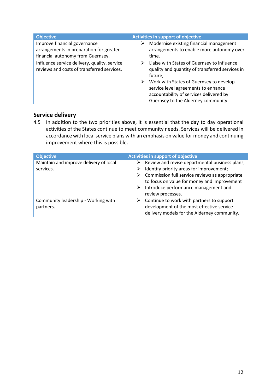| <b>Objective</b>                                                                                             | Activities in support of objective                                                                                                                                    |
|--------------------------------------------------------------------------------------------------------------|-----------------------------------------------------------------------------------------------------------------------------------------------------------------------|
| Improve financial governance<br>arrangements in preparation for greater<br>financial autonomy from Guernsey. | Modernise existing financial management<br>➤<br>arrangements to enable more autonomy over<br>time.                                                                    |
| Influence service delivery, quality, service<br>reviews and costs of transferred services.                   | Liaise with States of Guernsey to influence<br>➤<br>quality and quantity of transferred services in<br>future;                                                        |
|                                                                                                              | Work with States of Guernsey to develop<br>➤<br>service level agreements to enhance<br>accountability of services delivered by<br>Guernsey to the Alderney community. |

## **Service delivery**

4.5 In addition to the two priorities above, it is essential that the day to day operational activities of the States continue to meet community needs. Services will be delivered in accordance with local service plans with an emphasis on value for money and continuing improvement where this is possible.

| <b>Objective</b>                                 | Activities in support of objective |                                                                                                                                       |  |  |
|--------------------------------------------------|------------------------------------|---------------------------------------------------------------------------------------------------------------------------------------|--|--|
| Maintain and improve delivery of local           | ➤                                  | Review and revise departmental business plans;                                                                                        |  |  |
| services.                                        |                                    | Identify priority areas for improvement;                                                                                              |  |  |
|                                                  | ➤                                  | Commission full service reviews as appropriate<br>to focus on value for money and improvement                                         |  |  |
|                                                  | ➤                                  | Introduce performance management and<br>review processes.                                                                             |  |  |
| Community leadership - Working with<br>partners. |                                    | Continue to work with partners to support<br>development of the most effective service<br>delivery models for the Alderney community. |  |  |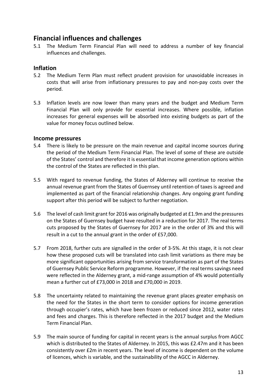## <span id="page-13-0"></span>**Financial influences and challenges**

5.1 The Medium Term Financial Plan will need to address a number of key financial influences and challenges.

## <span id="page-13-1"></span>**Inflation**

- 5.2 The Medium Term Plan must reflect prudent provision for unavoidable increases in costs that will arise from inflationary pressures to pay and non-pay costs over the period.
- 5.3 Inflation levels are now lower than many years and the budget and Medium Term Financial Plan will only provide for essential increases. Where possible, inflation increases for general expenses will be absorbed into existing budgets as part of the value for money focus outlined below.

#### <span id="page-13-2"></span>**Income pressures**

- 5.4 There is likely to be pressure on the main revenue and capital income sources during the period of the Medium Term Financial Plan. The level of some of these are outside of the States' control and therefore it is essential that income generation options within the control of the States are reflected in this plan.
- 5.5 With regard to revenue funding, the States of Alderney will continue to receive the annual revenue grant from the States of Guernsey until retention of taxes is agreed and implemented as part of the financial relationship changes. Any ongoing grant funding support after this period will be subject to further negotiation.
- 5.6 The level of cash limit grant for 2016 was originally budgeted at £1.9m and the pressures on the States of Guernsey budget have resulted in a reduction for 2017. The real terms cuts proposed by the States of Guernsey for 2017 are in the order of 3% and this will result in a cut to the annual grant in the order of £57,000.
- 5.7 From 2018, further cuts are signalled in the order of 3-5%. At this stage, it is not clear how these proposed cuts will be translated into cash limit variations as there may be more significant opportunities arising from service transformation as part of the States of Guernsey Public Service Reform programme. However, if the real terms savings need were reflected in the Alderney grant, a mid-range assumption of 4% would potentially mean a further cut of £73,000 in 2018 and £70,000 in 2019.
- 5.8 The uncertainty related to maintaining the revenue grant places greater emphasis on the need for the States in the short term to consider options for income generation through occupier's rates, which have been frozen or reduced since 2012, water rates and fees and charges. This is therefore reflected in the 2017 budget and the Medium Term Financial Plan.
- 5.9 The main source of funding for capital in recent years is the annual surplus from AGCC which is distributed to the States of Alderney. In 2015, this was £2.47m and it has been consistently over £2m in recent years. The level of income is dependent on the volume of licences, which is variable, and the sustainability of the AGCC in Alderney.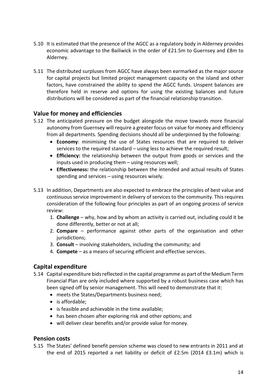- 5.10 It is estimated that the presence of the AGCC as a regulatory body in Alderney provides economic advantage to the Bailiwick in the order of £21.5m to Guernsey and £8m to Alderney.
- 5.11 The distributed surpluses from AGCC have always been earmarked as the major source for capital projects but limited project management capacity on the island and other factors, have constrained the ability to spend the AGCC funds. Unspent balances are therefore held in reserve and options for using the existing balances and future distributions will be considered as part of the financial relationship transition.

## <span id="page-14-0"></span>**Value for money and efficiencies**

- 5.12 The anticipated pressure on the budget alongside the move towards more financial autonomy from Guernsey will require a greater focus on value for money and efficiency from all departments. Spending decisions should all be underpinned by the following:
	- **Economy**: minimising the use of States resources that are required to deliver services to the required standard – using less to achieve the required result;
	- **Efficiency:** the relationship between the output from goods or services and the inputs used in producing them – using resources well;
	- **Effectiveness:** the relationship between the intended and actual results of States spending and services – using resources wisely.
- 5.13 In addition, Departments are also expected to embrace the principles of best value and continuous service improvement in delivery of services to the community. This requires consideration of the following four principles as part of an ongoing process of service review:
	- 1. **Challenge** why, how and by whom an activity is carried out, including could it be done differently, better or not at all;
	- 2. **Compare** performance against other parts of the organisation and other jurisdictions;
	- 3. **Consult** involving stakeholders, including the community; and
	- 4. **Compete** as a means of securing efficient and effective services.

## <span id="page-14-1"></span>**Capital expenditure**

- 5.14 Capital expenditure bids reflected in the capital programme as part of the Medium Term Financial Plan are only included where supported by a robust business case which has been signed off by senior management. This will need to demonstrate that it:
	- meets the States/Departments business need;
	- is affordable:
	- is feasible and achievable in the time available;
	- has been chosen after exploring risk and other options; and
	- will deliver clear benefits and/or provide value for money.

## <span id="page-14-2"></span>**Pension costs**

5.15 The States' defined benefit pension scheme was closed to new entrants in 2011 and at the end of 2015 reported a net liability or deficit of £2.5m (2014 £3.1m) which is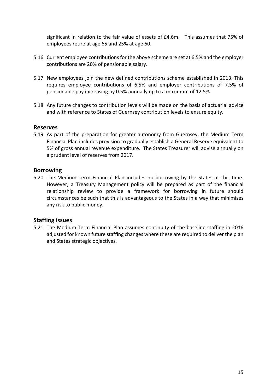significant in relation to the fair value of assets of £4.6m. This assumes that 75% of employees retire at age 65 and 25% at age 60.

- 5.16 Current employee contributions for the above scheme are set at 6.5% and the employer contributions are 20% of pensionable salary.
- 5.17 New employees join the new defined contributions scheme established in 2013. This requires employee contributions of 6.5% and employer contributions of 7.5% of pensionable pay increasing by 0.5% annually up to a maximum of 12.5%.
- 5.18 Any future changes to contribution levels will be made on the basis of actuarial advice and with reference to States of Guernsey contribution levels to ensure equity.

#### <span id="page-15-0"></span>**Reserves**

5.19 As part of the preparation for greater autonomy from Guernsey, the Medium Term Financial Plan includes provision to gradually establish a General Reserve equivalent to 5% of gross annual revenue expenditure. The States Treasurer will advise annually on a prudent level of reserves from 2017.

#### <span id="page-15-1"></span>**Borrowing**

5.20 The Medium Term Financial Plan includes no borrowing by the States at this time. However, a Treasury Management policy will be prepared as part of the financial relationship review to provide a framework for borrowing in future should circumstances be such that this is advantageous to the States in a way that minimises any risk to public money.

## <span id="page-15-2"></span>**Staffing issues**

5.21 The Medium Term Financial Plan assumes continuity of the baseline staffing in 2016 adjusted for known future staffing changes where these are required to deliver the plan and States strategic objectives.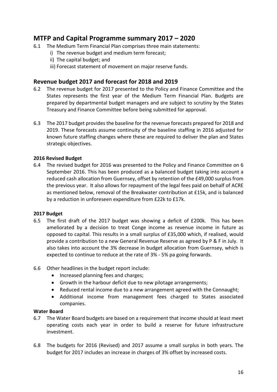# <span id="page-16-0"></span>**MTFP and Capital Programme summary 2017 – 2020**

- 6.1 The Medium Term Financial Plan comprises three main statements:
	- i) The revenue budget and medium term forecast;
	- ii) The capital budget; and
	- iii) Forecast statement of movement on major reserve funds.

#### <span id="page-16-1"></span>**Revenue budget 2017 and forecast for 2018 and 2019**

- 6.2 The revenue budget for 2017 presented to the Policy and Finance Committee and the States represents the first year of the Medium Term Financial Plan. Budgets are prepared by departmental budget managers and are subject to scrutiny by the States Treasury and Finance Committee before being submitted for approval.
- 6.3 The 2017 budget provides the baseline for the revenue forecasts prepared for 2018 and 2019. These forecasts assume continuity of the baseline staffing in 2016 adjusted for known future staffing changes where these are required to deliver the plan and States strategic objectives.

#### <span id="page-16-2"></span>**2016 Revised Budget**

6.4 The revised budget for 2016 was presented to the Policy and Finance Committee on 6 September 2016. This has been produced as a balanced budget taking into account a reduced cash allocation from Guernsey, offset by retention of the £49,000 surplus from the previous year. It also allows for repayment of the legal fees paid on behalf of ACRE as mentioned below, removal of the Breakwater contribution at £15k, and is balanced by a reduction in unforeseen expenditure from £22k to £17k.

#### <span id="page-16-3"></span>**2017 Budget**

- 6.5 The first draft of the 2017 budget was showing a deficit of £200k. This has been ameliorated by a decision to treat Conge income as revenue income in future as opposed to capital. This results in a small surplus of £35,000 which, if realised, would provide a contribution to a new General Revenue Reserve as agreed by P & F in July. It also takes into account the 3% decrease in budget allocation from Guernsey, which is expected to continue to reduce at the rate of 3% - 5% pa going forwards.
- 6.6 Other headlines in the budget report include:
	- Increased planning fees and charges;
	- Growth in the harbour deficit due to new pilotage arrangements;
	- Reduced rental income due to a new arrangement agreed with the Connaught;
	- Additional income from management fees charged to States associated companies.

#### <span id="page-16-4"></span>**Water Board**

- 6.7 The Water Board budgets are based on a requirement that income should at least meet operating costs each year in order to build a reserve for future infrastructure investment.
- 6.8 The budgets for 2016 (Revised) and 2017 assume a small surplus in both years. The budget for 2017 includes an increase in charges of 3% offset by increased costs.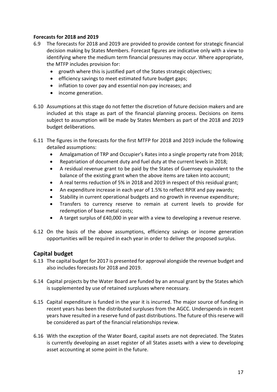#### <span id="page-17-0"></span>**Forecasts for 2018 and 2019**

- 6.9 The forecasts for 2018 and 2019 are provided to provide context for strategic financial decision making by States Members. Forecast figures are indicative only with a view to identifying where the medium term financial pressures may occur. Where appropriate, the MTFP includes provision for:
	- growth where this is justified part of the States strategic objectives;
	- efficiency savings to meet estimated future budget gaps;
	- inflation to cover pay and essential non-pay increases; and
	- income generation.
- 6.10 Assumptions at this stage do not fetter the discretion of future decision makers and are included at this stage as part of the financial planning process. Decisions on items subject to assumption will be made by States Members as part of the 2018 and 2019 budget deliberations.
- 6.11 The figures in the forecasts for the first MTFP for 2018 and 2019 include the following detailed assumptions:
	- Amalgamation of TRP and Occupier's Rates into a single property rate from 2018;
	- Repatriation of document duty and fuel duty at the current levels in 2018;
	- A residual revenue grant to be paid by the States of Guernsey equivalent to the balance of the existing grant when the above items are taken into account;
	- A real terms reduction of 5% in 2018 and 2019 in respect of this residual grant;
	- An expenditure increase in each year of 1.5% to reflect RPIX and pay awards;
	- Stability in current operational budgets and no growth in revenue expenditure;
	- Transfers to currency reserve to remain at current levels to provide for redemption of base metal costs;
	- A target surplus of £40,000 in year with a view to developing a revenue reserve.
- 6.12 On the basis of the above assumptions, efficiency savings or income generation opportunities will be required in each year in order to deliver the proposed surplus.

## <span id="page-17-1"></span>**Capital budget**

- 6.13 The capital budget for 2017 is presented for approval alongside the revenue budget and also includes forecasts for 2018 and 2019.
- 6.14 Capital projects by the Water Board are funded by an annual grant by the States which is supplemented by use of retained surpluses where necessary.
- 6.15 Capital expenditure is funded in the year it is incurred. The major source of funding in recent years has been the distributed surpluses from the AGCC. Underspends in recent years have resulted in a reserve fund of past distributions. The future of this reserve will be considered as part of the financial relationships review.
- 6.16 With the exception of the Water Board, capital assets are not depreciated. The States is currently developing an asset register of all States assets with a view to developing asset accounting at some point in the future.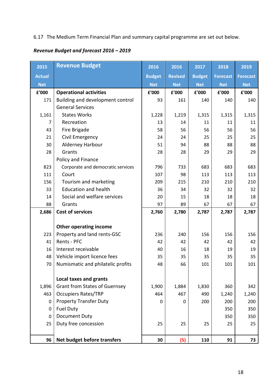# 6.17 The Medium Term Financial Plan and summary capital programme are set out below.

# *Revenue Budget and forecast 2016 – 2019*

| 2015          | <b>Revenue Budget</b>                | 2016          | 2016           | 2017          | 2018            | 2019            |
|---------------|--------------------------------------|---------------|----------------|---------------|-----------------|-----------------|
| <b>Actual</b> |                                      | <b>Budget</b> | <b>Revised</b> | <b>Budget</b> | <b>Forecast</b> | <b>Forecast</b> |
| <b>Net</b>    |                                      | <b>Net</b>    | <b>Net</b>     | <b>Net</b>    | <b>Net</b>      | <b>Net</b>      |
| £'000         | <b>Operational activities</b>        | £'000         | £'000          | £'000         | £'000           | £'000           |
| 171           | Building and development control     | 93            | 161            | 140           | 140             | 140             |
|               | <b>General Services</b>              |               |                |               |                 |                 |
| 1,161         | <b>States Works</b>                  | 1,228         | 1,219          | 1,315         | 1,315           | 1,315           |
| 7             | Recreation                           | 13            | 14             | 11            | 11              | 11              |
| 43            | Fire Brigade                         | 58            | 56             | 56            | 56              | 56              |
| 21            | Civil Emergency                      | 24            | 24             | 25            | 25              | 25              |
| 30            | Alderney Harbour                     | 51            | 94             | 88            | 88              | 88              |
| 28            | Grants                               | 28            | 28             | 29            | 29              | 29              |
|               | Policy and Finance                   |               |                |               |                 |                 |
| 823           | Corporate and democratic services    | 796           | 733            | 683           | 683             | 683             |
| 111           | Court                                | 107           | 98             | 113           | 113             | 113             |
| 156           | Tourism and marketing                | 209           | 215            | 210           | 210             | 210             |
| 33            | <b>Education and health</b>          | 36            | 34             | 32            | 32              | 32              |
| 14            | Social and welfare services          | 20            | 15             | 18            | 18              | 18              |
| 88            | Grants                               | 97            | 89             | 67            | 67              | 67              |
| 2,686         | <b>Cost of services</b>              | 2,760         | 2,780          | 2,787         | 2,787           | 2,787           |
|               |                                      |               |                |               |                 |                 |
|               | <b>Other operating income</b>        |               |                |               |                 |                 |
| 223           | Property and land rents-GSC          | 236           | 240            | 156           | 156             | 156             |
| 41            | Rents - PFC                          | 42            | 42             | 42            | 42              | 42              |
| 16            | Interest receivable                  | 40            | 16             | 18            | 19              | 19              |
| 48            | Vehicle import licence fees          | 35            | 35             | 35            | 35              | 35              |
| 70            | Numismatic and philatelic profits    | 48            | 66             | 101           | 101             | 101             |
|               |                                      |               |                |               |                 |                 |
|               | <b>Local taxes and grants</b>        |               |                |               |                 |                 |
| 1,896         | <b>Grant from States of Guernsey</b> | 1,900         | 1,884          | 1,830         | 360             | 342             |
| 463           | <b>Occupiers Rates/TRP</b>           | 464           | 467            | 490           | 1,240           | 1,240           |
| $\Omega$      | <b>Property Transfer Duty</b>        | 0             | 0              | 200           | 200             | 200             |
| $\mathbf 0$   | <b>Fuel Duty</b>                     |               |                |               | 350             | 350             |
| $\mathbf 0$   | <b>Document Duty</b>                 |               |                |               | 350             | 350             |
| 25            | Duty free concession                 | 25            | 25             | 25            | 25              | 25              |
|               |                                      |               |                |               |                 |                 |
| 96            | Net budget before transfers          | 30            | (5)            | 110           | 91              | 73              |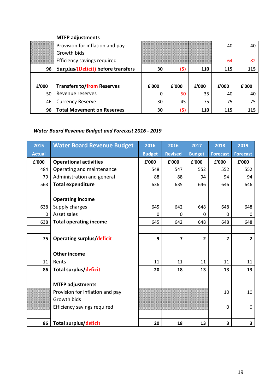#### **MTFP adjustments**

|       | Provision for inflation and pay    |       |       |       | 40    | 40    |
|-------|------------------------------------|-------|-------|-------|-------|-------|
|       | Growth bids                        |       |       |       |       |       |
|       | Efficiency savings required        |       |       |       | 64    | 82    |
| 96    | Surplus/(Deficit) before transfers | 30    | (5)   | 110   | 115   | 115   |
|       |                                    |       |       |       |       |       |
| £'000 | <b>Transfers to/from Reserves</b>  | £'000 | £'000 | £'000 | £'000 | £'000 |
| 50    | Revenue reserves                   | 0     | 50    | 35    | 40    | 40    |
| 46    | <b>Currency Reserve</b>            | 30    | 45    | 75    | 75    | 75    |
| 96    | <b>Total Movement on Reserves</b>  | 30    | (5)   | 110   | 115   | 115   |

# *Water Board Revenue Budget and Forecast 2016 - 2019*

| 2015          | <b>Water Board Revenue Budget</b>  | 2016          | 2016           | 2017           | 2018            | 2019            |
|---------------|------------------------------------|---------------|----------------|----------------|-----------------|-----------------|
| <b>Actual</b> |                                    | <b>Budget</b> | <b>Revised</b> | <b>Budget</b>  | <b>Forecast</b> | <b>Forecast</b> |
| £'000         | <b>Operational activities</b>      | £'000         | £'000          | £'000          | £'000           | £'000           |
| 484           | Operating and maintenance          | 548           | 547            | 552            | 552             | 552             |
| 79            | Administration and general         | 88            | 88             | 94             | 94              | 94              |
| 563           | <b>Total expenditure</b>           | 636           | 635            | 646            | 646             | 646             |
|               |                                    |               |                |                |                 |                 |
|               | <b>Operating income</b>            |               |                |                |                 |                 |
| 638           | Supply charges                     | 645           | 642            | 648            | 648             | 648             |
| $\Omega$      | Asset sales                        | 0             | 0              | $\Omega$       | <sup>0</sup>    | 0               |
| 638           | <b>Total operating income</b>      | 645           | 642            | 648            | 648             | 648             |
|               |                                    |               |                |                |                 |                 |
| 75            | <b>Operating surplus/deficit</b>   | 9             | $\overline{7}$ | $\overline{2}$ | $\overline{2}$  | $\overline{2}$  |
|               |                                    |               |                |                |                 |                 |
|               | <b>Other income</b>                |               |                |                |                 |                 |
| 11            | Rents                              | 11            | 11             | 11             | 11              | 11              |
| 86            | Total surplus/deficit              | 20            | 18             | 13             | 13              | 13              |
|               |                                    |               |                |                |                 |                 |
|               | <b>MTFP adjustments</b>            |               |                |                |                 |                 |
|               | Provision for inflation and pay    |               |                |                | 10              | 10              |
|               | Growth bids                        |               |                |                |                 |                 |
|               | <b>Efficiency savings required</b> |               |                |                | $\mathbf 0$     | $\mathbf 0$     |
|               |                                    |               |                |                |                 |                 |
| 86            | Total surplus/deficit              | 20            | 18             | 13             | 3               | 3               |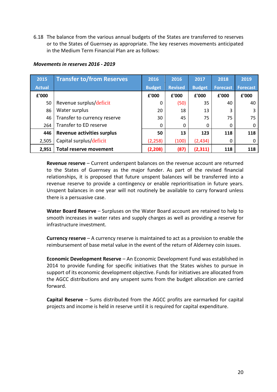6.18 The balance from the various annual budgets of the States are transferred to reserves or to the States of Guernsey as appropriate. The key reserves movements anticipated in the Medium Term Financial Plan are as follows:

#### *Movements in reserves 2016 - 2019*

| 2015          | <b>Transfer to/from Reserves</b>  | 2016          | 2016           | 2017          | 2018            | 2019            |
|---------------|-----------------------------------|---------------|----------------|---------------|-----------------|-----------------|
| <b>Actual</b> |                                   | <b>Budget</b> | <b>Revised</b> | <b>Budget</b> | <b>Forecast</b> | <b>Forecast</b> |
| £'000         |                                   | £'000         | £'000          | £'000         | £'000           | £'000           |
| 50            | Revenue surplus/deficit           | 0             | (50)           | 35            | 40              | 40              |
| 86            | Water surplus                     | 20            | 18             | 13            | 3               | 3               |
| 46            | Transfer to currency reserve      | 30            | 45             | 75            | 75              | 75              |
| 264           | Transfer to ED reserve            | 0             | $\mathbf{0}$   | 0             | 0               | 0               |
| 446           | <b>Revenue activities surplus</b> | 50            | 13             | 123           | 118             | 118             |
| 2,505         | Capital surplus/deficit           | (2, 258)      | (100)          | (2,434)       | 0               | $\Omega$        |
| 2,951         | <b>Total reserve movement</b>     | (2, 208)      | (87)           | (2,311)       | 118             | 118             |

**Revenue reserve** – Current underspent balances on the revenue account are returned to the States of Guernsey as the major funder. As part of the revised financial relationships, it is proposed that future unspent balances will be transferred into a revenue reserve to provide a contingency or enable reprioritisation in future years. Unspent balances in one year will not routinely be available to carry forward unless there is a persuasive case.

**Water Board Reserve** – Surpluses on the Water Board account are retained to help to smooth increases in water rates and supply charges as well as providing a reserve for infrastructure investment.

**Currency reserve** – A currency reserve is maintained to act as a provision to enable the reimbursement of base metal value in the event of the return of Alderney coin issues.

**Economic Development Reserve** – An Economic Development Fund was established in 2014 to provide funding for specific initiatives that the States wishes to pursue in support of its economic development objective. Funds for initiatives are allocated from the AGCC distributions and any unspent sums from the budget allocation are carried forward.

**Capital Reserve** – Sums distributed from the AGCC profits are earmarked for capital projects and income is held in reserve until it is required for capital expenditure.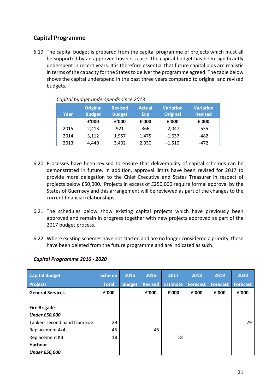## <span id="page-21-0"></span>**Capital Programme**

6.19 The capital budget is prepared from the capital programme of projects which must all be supported by an approved business case. The capital budget has been significantly underspent in recent years. It is therefore essential that future capital bids are realistic in terms of the capacity for the States to deliver the programme agreed. The table below shows the capital underspend in the past three years compared to original and revised budgets.

| Year | <b>Original</b><br><b>Budget</b> | <b>Revised</b><br><b>Budget</b> | <b>Actual</b><br><b>Exp</b> | <b>Variation</b><br><b>Original</b> | <b>Variation</b><br><b>Revised</b> |
|------|----------------------------------|---------------------------------|-----------------------------|-------------------------------------|------------------------------------|
|      | £'000                            | £'000                           | £'000                       | £'000                               | £'000                              |
| 2015 | 2,413                            | 921                             | 366                         | $-2,047$                            | $-555$                             |
| 2014 | 3,112                            | 1,957                           | 1,475                       | $-1,637$                            | -482                               |
| 2013 | 4,440                            | 3,402                           | 2,930                       | $-1,510$                            | $-472$                             |

*Capital budget underspends since 2013*

- 6.20 Processes have been revised to ensure that deliverability of capital schemes can be demonstrated in future. In addition, approval limits have been revised for 2017 to provide more delegation to the Chief Executive and States Treasurer in respect of projects below £50,000. Projects in excess of £250,000 require formal approval by the States of Guernsey and this arrangement will be reviewed as part of the changes to the current financial relationships.
- 6.21 The schedules below show existing capital projects which have previously been approved and remain in progress together with new projects approved as part of the 2017 budget process.
- 6.22 Where existing schemes have not started and are no longer considered a priority, these have been deleted from the future programme and are indicated as such.

#### *Capital Programme 2016 - 2020*

| <b>Capital Budget</b>        | <b>Scheme</b> | 2016          | 2016           | 2017            | 2018            | 2019            | 2020            |
|------------------------------|---------------|---------------|----------------|-----------------|-----------------|-----------------|-----------------|
| <b>Projects</b>              | <b>Total</b>  | <b>Budget</b> | <b>Revised</b> | <b>Estimate</b> | <b>Forecast</b> | <b>Forecast</b> | <b>Forecast</b> |
| <b>General Services</b>      | £'000         |               | £'000          | £'000           | £'000           | £'000           | £'000           |
|                              |               |               |                |                 |                 |                 |                 |
| <b>Fire Brigade</b>          |               |               |                |                 |                 |                 |                 |
| <b>Under £50,000</b>         |               |               |                |                 |                 |                 |                 |
| Tanker- second hand from SoG | 29            |               |                |                 |                 |                 | 29              |
| Replacement 4x4              | 45            |               | 45             |                 |                 |                 |                 |
| Replacement Kit              | 18            |               |                | 18              |                 |                 |                 |
| <b>Harbour</b>               |               |               |                |                 |                 |                 |                 |
| <b>Under £50,000</b>         |               |               |                |                 |                 |                 |                 |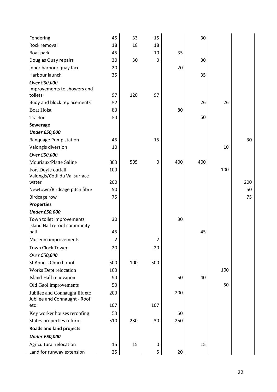| Fendering                                                | 45  | 33  | 15          |     | 30  |     |     |
|----------------------------------------------------------|-----|-----|-------------|-----|-----|-----|-----|
| Rock removal                                             | 18  | 18  | 18          |     |     |     |     |
| Boat park                                                | 45  |     | 10          | 35  |     |     |     |
| Douglas Quay repairs                                     | 30  | 30  | $\mathbf 0$ |     | 30  |     |     |
| Inner harbour quay face                                  | 20  |     |             | 20  |     |     |     |
| Harbour launch                                           | 35  |     |             |     | 35  |     |     |
| Over £50,000                                             |     |     |             |     |     |     |     |
| Improvements to showers and                              |     |     |             |     |     |     |     |
| toilets                                                  | 97  | 120 | 97          |     |     |     |     |
| Buoy and block replacements                              | 52  |     |             |     | 26  | 26  |     |
| <b>Boat Hoist</b>                                        | 80  |     |             | 80  |     |     |     |
| Tractor                                                  | 50  |     |             |     | 50  |     |     |
| <b>Sewerage</b>                                          |     |     |             |     |     |     |     |
| <b>Under £50,000</b>                                     |     |     |             |     |     |     |     |
| <b>Banquage Pump station</b>                             | 45  |     | 15          |     |     |     | 30  |
| Valongis diversion                                       | 10  |     |             |     |     | 10  |     |
| Over £50,000                                             |     |     |             |     |     |     |     |
| Mouriaux/Platte Saline                                   | 800 | 505 | $\mathbf 0$ | 400 | 400 |     |     |
| Fort Doyle outfall                                       | 100 |     |             |     |     | 100 |     |
| Valongis/Cotil du Val surface                            |     |     |             |     |     |     |     |
| water                                                    | 200 |     |             |     |     |     | 200 |
| Newtown/Birdcage pitch fibre                             | 50  |     |             |     |     |     | 50  |
| <b>Birdcage row</b>                                      | 75  |     |             |     |     |     | 75  |
| <b>Properties</b>                                        |     |     |             |     |     |     |     |
| <b>Under £50,000</b>                                     |     |     |             |     |     |     |     |
| Town toilet improvements<br>Island Hall reroof community | 30  |     |             | 30  |     |     |     |
| hall                                                     | 45  |     |             |     | 45  |     |     |
| Museum improvements                                      | 2   |     | 2           |     |     |     |     |
| <b>Town Clock Tower</b>                                  | 20  |     | 20          |     |     |     |     |
| Over £50,000                                             |     |     |             |     |     |     |     |
| St Anne's Church roof                                    | 500 | 100 | 500         |     |     |     |     |
| Works Dept relocation                                    | 100 |     |             |     |     | 100 |     |
| Island Hall renovation                                   | 90  |     |             | 50  | 40  |     |     |
| Old Gaol improvements                                    | 50  |     |             |     |     | 50  |     |
| Jubilee and Connaught lift etc                           | 200 |     |             | 200 |     |     |     |
| Jubilee and Connaught - Roof                             |     |     |             |     |     |     |     |
| etc                                                      | 107 |     | 107         |     |     |     |     |
| Key worker houses reroofing                              | 50  |     |             | 50  |     |     |     |
| States properties refurb.                                | 510 | 230 | 30          | 250 |     |     |     |
| <b>Roads and land projects</b>                           |     |     |             |     |     |     |     |
| <b>Under £50,000</b>                                     |     |     |             |     |     |     |     |
| Agricultural relocation                                  | 15  | 15  | $\mathbf 0$ |     | 15  |     |     |
| Land for runway extension                                | 25  |     | 5           | 20  |     |     |     |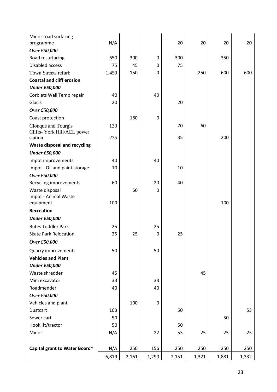| Minor road surfacing<br>programme   | N/A   |       |                  | 20    | 20    | 20    | 20    |
|-------------------------------------|-------|-------|------------------|-------|-------|-------|-------|
| Over £50,000                        |       |       |                  |       |       |       |       |
| Road resurfacing                    | 650   | 300   | $\mathbf 0$      | 300   |       | 350   |       |
| Disabled access                     | 75    | 45    | 0                | 75    |       |       |       |
| Town Streets refurb                 | 1,450 | 150   | 0                |       | 250   | 600   | 600   |
| <b>Coastal and cliff erosion</b>    |       |       |                  |       |       |       |       |
| <b>Under £50,000</b>                |       |       |                  |       |       |       |       |
| Corblets Wall Temp repair           | 40    |       | 40               |       |       |       |       |
| Glacis                              | 20    |       |                  | 20    |       |       |       |
| Over £50,000                        |       |       |                  |       |       |       |       |
| Coast protection                    |       | 180   | $\mathbf 0$      |       |       |       |       |
| Clonque and Tourgis                 | 130   |       |                  | 70    | 60    |       |       |
| Cliffs- York Hill/AEL power         |       |       |                  |       |       |       |       |
| station                             | 235   |       |                  | 35    |       | 200   |       |
| <b>Waste disposal and recycling</b> |       |       |                  |       |       |       |       |
| <b>Under £50,000</b>                |       |       |                  |       |       |       |       |
| Impot improvements                  | 40    |       | 40               |       |       |       |       |
| Impot - Oil and paint storage       | 10    |       |                  | 10    |       |       |       |
| Over £50,000                        |       |       |                  |       |       |       |       |
| Recycling improvements              | 60    |       | 20               | 40    |       |       |       |
| Waste disposal                      |       | 60    | $\mathbf 0$      |       |       |       |       |
| Impot - Animal Waste                |       |       |                  |       |       |       |       |
| equipment                           | 100   |       |                  |       |       | 100   |       |
| Recreation                          |       |       |                  |       |       |       |       |
| <b>Under £50,000</b>                |       |       |                  |       |       |       |       |
| <b>Butes Toddler Park</b>           | 25    |       | 25               |       |       |       |       |
| <b>Skate Park Relocation</b>        | 25    | 25    | $\mathbf 0$      | 25    |       |       |       |
| Over £50,000                        |       |       |                  |       |       |       |       |
| <b>Quarry improvements</b>          | 50    |       | 50               |       |       |       |       |
| <b>Vehicles and Plant</b>           |       |       |                  |       |       |       |       |
| <b>Under £50,000</b>                |       |       |                  |       |       |       |       |
| Waste shredder                      | 45    |       |                  |       | 45    |       |       |
| Mini excavator                      | 33    |       | 33               |       |       |       |       |
| Roadmender                          | 40    |       | 40               |       |       |       |       |
| Over £50,000                        |       |       |                  |       |       |       |       |
| Vehicles and plant                  |       | 100   | $\boldsymbol{0}$ |       |       |       |       |
| Dustcart                            | 103   |       |                  | 50    |       |       | 53    |
| Sewer cart                          | 50    |       |                  |       |       | 50    |       |
| Hooklift/tractor                    | 50    |       |                  | 50    |       |       |       |
| Minor                               | N/A   |       | 22               | 53    | 25    | 25    | 25    |
|                                     |       |       |                  |       |       |       |       |
| Capital grant to Water Board*       | N/A   | 250   | 156              | 250   | 250   | 250   | 250   |
|                                     | 6,819 | 2,161 | 1,290            | 2,151 | 1,321 | 1,881 | 1,332 |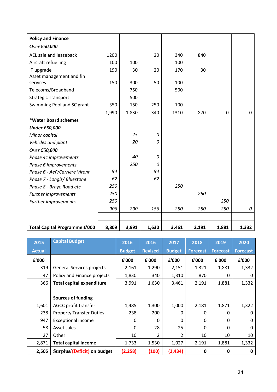| <b>Policy and Finance</b>            |       |       |       |       |       |             |             |
|--------------------------------------|-------|-------|-------|-------|-------|-------------|-------------|
| Over £50,000                         |       |       |       |       |       |             |             |
| AEL sale and leaseback               | 1200  |       | 20    | 340   | 840   |             |             |
| Aircraft refuelling                  | 100   | 100   |       | 100   |       |             |             |
| IT upgrade                           | 190   | 30    | 20    | 170   | 30    |             |             |
| Asset management and fin             |       |       |       |       |       |             |             |
| services                             | 150   | 300   | 50    | 100   |       |             |             |
| Telecoms/Broadband                   |       | 750   |       | 500   |       |             |             |
| <b>Strategic Transport</b>           |       | 500   |       |       |       |             |             |
| Swimming Pool and SC grant           | 350   | 150   | 250   | 100   |       |             |             |
|                                      | 1,990 | 1,830 | 340   | 1310  | 870   | $\mathbf 0$ | $\mathbf 0$ |
| *Water Board schemes                 |       |       |       |       |       |             |             |
| <b>Under £50,000</b>                 |       |       |       |       |       |             |             |
| Minor capital                        |       | 25    | 0     |       |       |             |             |
| Vehicles and plant                   |       | 20    | 0     |       |       |             |             |
| Over £50,000                         |       |       |       |       |       |             |             |
| Phase 4c improvements                |       | 40    | 0     |       |       |             |             |
| Phase 6 improvements                 |       | 250   | 0     |       |       |             |             |
| Phase 6 - AeF/Carriere Viront        | 94    |       | 94    |       |       |             |             |
| Phase 7 - Longis/ Bluestone          | 62    |       | 62    |       |       |             |             |
| Phase 8 - Braye Road etc             | 250   |       |       | 250   |       |             |             |
| Further improvements                 | 250   |       |       |       | 250   |             |             |
| Further improvements                 | 250   |       |       |       |       | 250         |             |
|                                      | 906   | 290   | 156   | 250   | 250   | 250         | 0           |
|                                      |       |       |       |       |       |             |             |
| <b>Total Capital Programme £'000</b> | 8,809 | 3,991 | 1,630 | 3,461 | 2,191 | 1,881       | 1,332       |

| 2015          | <b>Capital Budget</b>            | 2016          | 2016           | 2017          | 2018            | 2019            | 2020            |
|---------------|----------------------------------|---------------|----------------|---------------|-----------------|-----------------|-----------------|
| <b>Actual</b> |                                  | <b>Budget</b> | <b>Revised</b> | <b>Budget</b> | <b>Forecast</b> | <b>Forecast</b> | <b>Forecast</b> |
| £'000         |                                  | £'000         | £'000          | £'000         | £'000           | £'000           | £'000           |
| 319           | General Services projects        | 2,161         | 1,290          | 2,151         | 1,321           | 1,881           | 1,332           |
| 47            | Policy and Finance projects      | 1,830         | 340            | 1,310         | 870             | 0               | $\Omega$        |
| 366           | <b>Total capital expenditure</b> | 3,991         | 1,630          | 3,461         | 2,191           | 1,881           | 1,332           |
|               |                                  |               |                |               |                 |                 |                 |
|               | <b>Sources of funding</b>        |               |                |               |                 |                 |                 |
| 1,601         | AGCC profit transfer             | 1,485         | 1,300          | 1,000         | 2,181           | 1,871           | 1,322           |
| 238           | <b>Property Transfer Duties</b>  | 238           | 200            | 0             | 0               | <sup>0</sup>    | 0               |
| 947           | <b>Exceptional income</b>        | $\Omega$      | $\Omega$       | $\Omega$      | $\Omega$        | $\Omega$        | 0               |
| 58            | Asset sales                      | $\Omega$      | 28             | 25            | $\Omega$        | $\Omega$        | $\Omega$        |
| 27            | Other                            | 10            | $\overline{2}$ | 2             | 10              | 10              | 10              |
| 2,871         | <b>Total capital income</b>      | 1,733         | 1,530          | 1,027         | 2,191           | 1,881           | 1,332           |
| 2,505         | Surplus/(Deficit) on budget      | (2, 258)      | (100)          | (2, 434)      | 0               | 0               | 0               |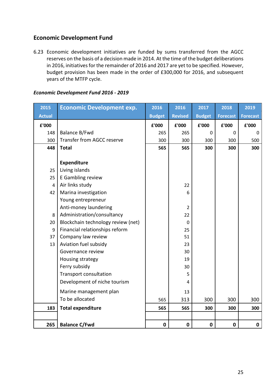## <span id="page-25-0"></span>**Economic Development Fund**

6.23 Economic development initiatives are funded by sums transferred from the AGCC reserves on the basis of a decision made in 2014. At the time of the budget deliberations in 2016, initiatives for the remainder of 2016 and 2017 are yet to be specified. However, budget provision has been made in the order of £300,000 for 2016, and subsequent years of the MTFP cycle.

| 2015           | <b>Economic Development exp.</b>   | 2016          | 2016           | 2017          | 2018            | 2019            |
|----------------|------------------------------------|---------------|----------------|---------------|-----------------|-----------------|
| <b>Actual</b>  |                                    | <b>Budget</b> | <b>Revised</b> | <b>Budget</b> | <b>Forecast</b> | <b>Forecast</b> |
| £'000          |                                    | £'000         | £'000          | £'000         | £'000           | £'000           |
| 148            | Balance B/Fwd                      | 265           | 265            | $\mathbf 0$   | $\mathbf 0$     | 0               |
| 300            | Transfer from AGCC reserve         | 300           | 300            | 300           | 300             | 500             |
| 448            | <b>Total</b>                       | 565           | 565            | 300           | 300             | 300             |
|                |                                    |               |                |               |                 |                 |
|                | <b>Expenditure</b>                 |               |                |               |                 |                 |
| 25             | Living islands                     |               |                |               |                 |                 |
| 25             | E Gambling review                  |               |                |               |                 |                 |
| $\overline{4}$ | Air links study                    |               | 22             |               |                 |                 |
| 42             | Marina investigation               |               | 6              |               |                 |                 |
|                | Young entrepreneur                 |               |                |               |                 |                 |
|                | Anti-money laundering              |               | 2              |               |                 |                 |
| 8              | Administration/consultancy         |               | 22             |               |                 |                 |
| 20             | Blockchain technology review (net) |               | $\mathbf 0$    |               |                 |                 |
| 9              | Financial relationships reform     |               | 25             |               |                 |                 |
| 37             | Company law review                 |               | 51             |               |                 |                 |
| 13             | Aviation fuel subsidy              |               | 23             |               |                 |                 |
|                | Governance review                  |               | 30             |               |                 |                 |
|                | Housing strategy                   |               | 19             |               |                 |                 |
|                | Ferry subsidy                      |               | 30             |               |                 |                 |
|                | <b>Transport consultation</b>      |               | 5              |               |                 |                 |
|                | Development of niche tourism       |               | 4              |               |                 |                 |
|                | Marine management plan             |               | 13             |               |                 |                 |
|                | To be allocated                    | 565           | 313            | 300           | 300             | 300             |
| 183            | <b>Total expenditure</b>           | 565           | 565            | 300           | 300             | 300             |
|                |                                    |               |                |               |                 |                 |
| 265            | <b>Balance C/Fwd</b>               | $\mathbf 0$   | $\mathbf 0$    | $\mathbf 0$   | $\mathbf 0$     | $\mathbf 0$     |

#### *Economic Development Fund 2016 - 2019*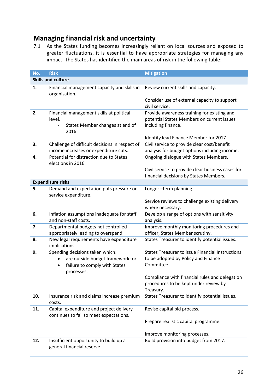# <span id="page-26-0"></span>**Managing financial risk and uncertainty**

7.1 As the States funding becomes increasingly reliant on local sources and exposed to greater fluctuations, it is essential to have appropriate strategies for managing any impact. The States has identified the main areas of risk in the following table:

| No. | <b>Risk</b>                                                                                                        | <b>Mitigation</b>                                                                                               |
|-----|--------------------------------------------------------------------------------------------------------------------|-----------------------------------------------------------------------------------------------------------------|
|     | <b>Skills and culture</b>                                                                                          |                                                                                                                 |
| 1.  | Financial management capacity and skills in<br>organisation.                                                       | Review current skills and capacity.                                                                             |
|     |                                                                                                                    | Consider use of external capacity to support<br>civil service.                                                  |
| 2.  | Financial management skills at political<br>level.<br>States Member changes at end of<br>2016.                     | Provide awareness training for existing and<br>potential States Members on current issues<br>including finance. |
|     |                                                                                                                    | Identify lead Finance Member for 2017.                                                                          |
| 3.  | Challenge of difficult decisions in respect of<br>income increases or expenditure cuts.                            | Civil service to provide clear cost/benefit<br>analysis for budget options including income.                    |
| 4.  | Potential for distraction due to States<br>elections in 2016.                                                      | Ongoing dialogue with States Members.                                                                           |
|     |                                                                                                                    | Civil service to provide clear business cases for<br>financial decisions by States Members.                     |
|     | <b>Expenditure risks</b>                                                                                           |                                                                                                                 |
| 5.  | Demand and expectation puts pressure on<br>service expenditure.                                                    | Longer-term planning.                                                                                           |
|     |                                                                                                                    | Service reviews to challenge existing delivery<br>where necessary.                                              |
| 6.  | Inflation assumptions inadequate for staff<br>and non-staff costs.                                                 | Develop a range of options with sensitivity<br>analysis.                                                        |
| 7.  | Departmental budgets not controlled<br>appropriately leading to overspend.                                         | Improve monthly monitoring procedures and<br>officer, States Member scrutiny.                                   |
| 8.  | New legal requirements have expenditure<br>implications.                                                           | States Treasurer to identify potential issues.                                                                  |
| 9.  | Spending decisions taken which:<br>are outside budget framework; or<br>failure to comply with States<br>processes. | <b>States Treasurer to issue Financial Instructions</b><br>to be adopted by Policy and Finance<br>Committee.    |
|     |                                                                                                                    | Compliance with financial rules and delegation<br>procedures to be kept under review by<br>Treasury.            |
| 10. | Insurance risk and claims increase premium<br>costs.                                                               | States Treasurer to identify potential issues.                                                                  |
| 11. | Capital expenditure and project delivery<br>continues to fail to meet expectations.                                | Revise capital bid process.                                                                                     |
|     |                                                                                                                    | Prepare realistic capital programme.                                                                            |
|     |                                                                                                                    | Improve monitoring processes.                                                                                   |
| 12. | Insufficient opportunity to build up a<br>general financial reserve.                                               | Build provision into budget from 2017.                                                                          |